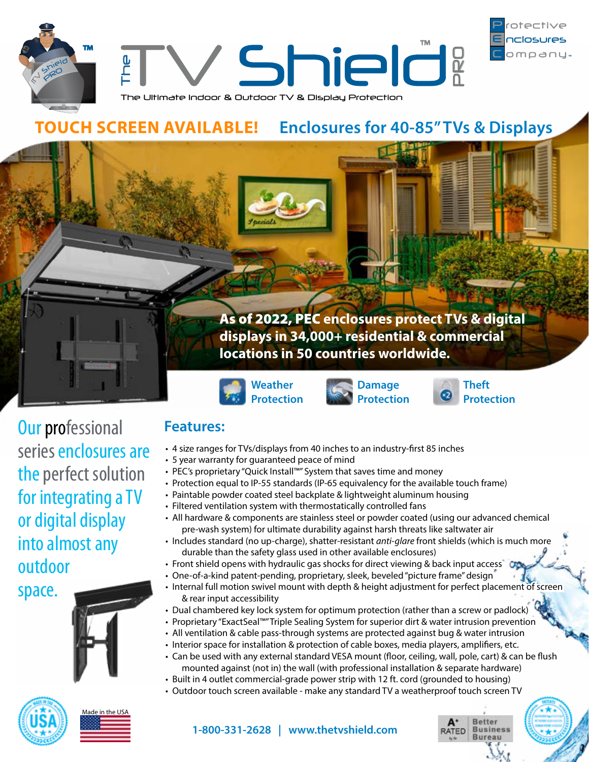





**TOUCH SCREEN AVAILABLE!**

# **Enclosures for 40-85" TVs & Displays**



**Damage Protection**

**Our professional** series enclosures are the perfect solution for integrating a TV or digital display into almost any outdoor

space.



de in the USA

## **Features:**

- 4 size ranges for TVs/displays from 40 inches to an industry-first 85 inches
- 5 year warranty for guaranteed peace of mind

**Weather Protection**

- PEC's proprietary "Quick Install™" System that saves time and money
- Protection equal to IP-55 standards (IP-65 equivalency for the available touch frame)
- Paintable powder coated steel backplate & lightweight aluminum housing
- Filtered ventilation system with thermostatically controlled fans
- All hardware & components are stainless steel or powder coated (using our advanced chemical pre-wash system) for ultimate durability against harsh threats like saltwater air
- Includes standard (no up-charge), shatter-resistant *anti-glare* front shields (which is much more durable than the safety glass used in other available enclosures)
- Front shield opens with hydraulic gas shocks for direct viewing & back input access CO
- One-of-a-kind patent-pending, proprietary, sleek, beveled "picture frame" design
- Internal full motion swivel mount with depth & height adjustment for perfect placement of screen & rear input accessibility
- Dual chambered key lock system for optimum protection (rather than a screw or padlock)
- Proprietary "ExactSeal™" Triple Sealing System for superior dirt & water intrusion prevention
- All ventilation & cable pass-through systems are protected against bug & water intrusion
- Interior space for installation & protection of cable boxes, media players, amplifiers, etc.
- Can be used with any external standard VESA mount (floor, ceiling, wall, pole, cart) & can be flush mounted against (not in) the wall (with professional installation & separate hardware)
- Built in 4 outlet commercial-grade power strip with 12 ft. cord (grounded to housing)
- Outdoor touch screen available make any standard TV a weatherproof touch screen TV



**Theft Protection**





**1-800-331-2628 | www.thetvshield.com**